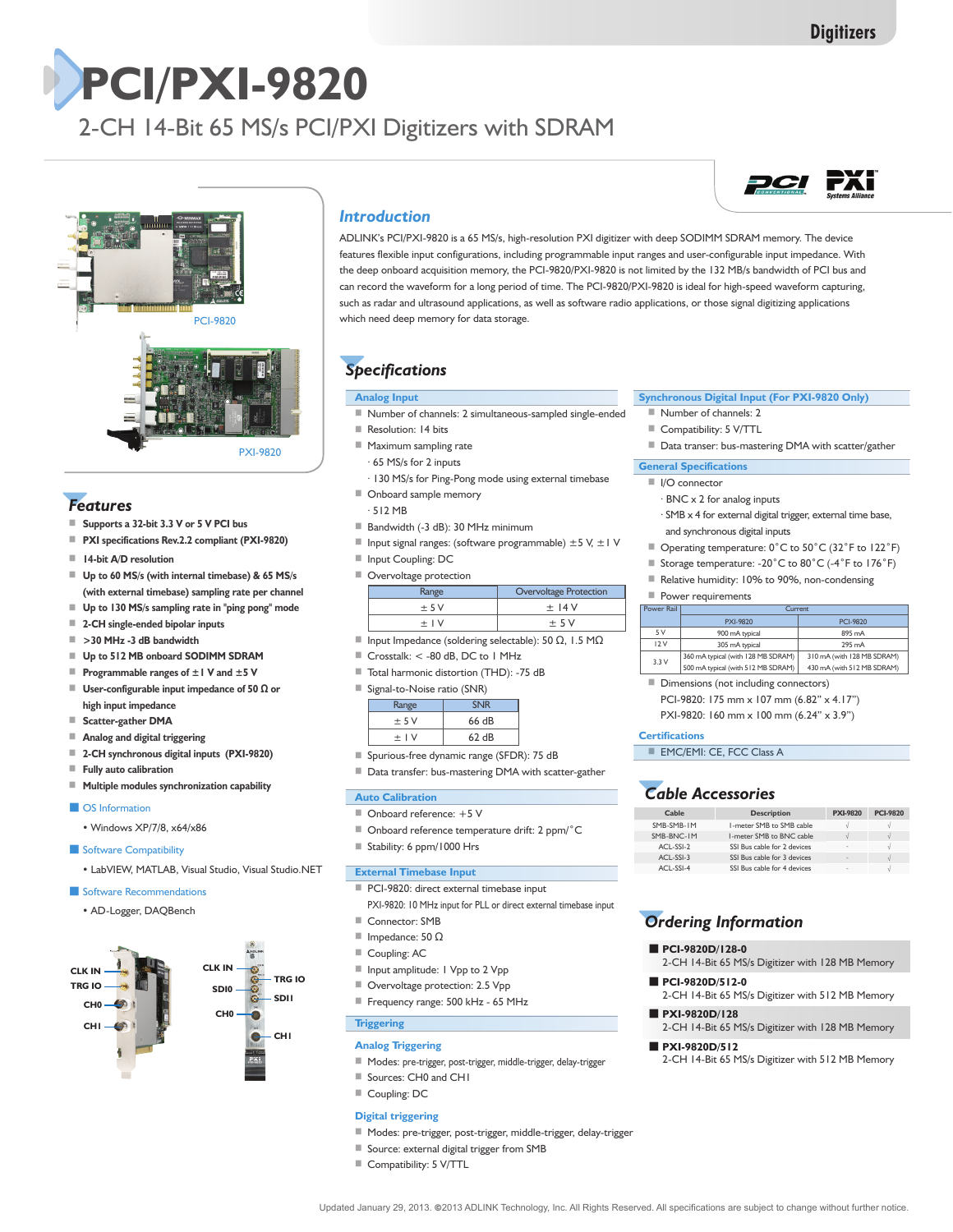# **PCI/PXI-9820**

2-CH 14-Bit 65 MS/s PCI/PXI Digitizers with SDRAM



# *Features*

- **Supports a 32-bit 3.3 V or 5 V PCI bus**
- **PXI specifications Rev.2.2 compliant (PXI-9820)**
- **14-bit A/D resolution**
- **Up to 60 MS/s (with internal timebase) & 65 MS/s (with external timebase) sampling rate per channel**
- Up to 130 MS/s sampling rate in "ping pong" mode
- **2-CH single-ended bipolar inputs**
- **>30 MHz -3 dB bandwidth**
- **Up to 512 MB onboard SODIMM SDRAM**
- **Programmable ranges of ±1 V and ±5 V**
- ■ **User-configurable input impedance of 50 Ω or high input impedance**
- **Scatter-gather DMA**
- **Analog and digital triggering**
- **2-CH synchronous digital inputs (PXI-9820)**
- **Fully auto calibration**
- **Multiple modules synchronization capability**

### ■ OS Information

- Windows XP/7/8, x64/x86
- Software Compatibility
- LabVIEW, MATLAB, Visual Studio, Visual Studio.NET

### ■ Software Recommendations

 • AD-Logger, DAQBench



### *Introduction*

ADLINK's PCI/PXI-9820 is a 65 MS/s, high-resolution PXI digitizer with deep SODIMM SDRAM memory. The device features flexible input configurations, including programmable input ranges and user-configurable input impedance. With the deep onboard acquisition memory, the PCI-9820/PXI-9820 is not limited by the 132 MB/s bandwidth of PCI bus and can record the waveform for a long period of time. The PCI-9820/PXI-9820 is ideal for high-speed waveform capturing, such as radar and ultrasound applications, as well as software radio applications, or those signal digitizing applications which need deep memory for data storage.

## *Specifications*

### **Analog Input**

- Number of channels: 2 simultaneous-sampled single-ended
- Resolution: 14 bits
- Maximum sampling rate
	- · 65 MS/s for 2 inputs
	- · 130 MS/s for Ping-Pong mode using external timebase
- Onboard sample memory
- · 512 MB
- Bandwidth (-3 dB): 30 MHz minimum
- Input signal ranges: (software programmable)  $±5$  V,  $±1$  V
- Input Coupling: DC
- Overvoltage protection

| Range  | Overvoltage Protection |
|--------|------------------------|
| $+5V$  | $+$ 14 V               |
| $+$ IV | $+5V$                  |

- Input Impedance (soldering selectable): 50 Ω, 1.5 MΩ
- Crosstalk: < -80 dB, DC to 1 MHz
- Total harmonic distortion (THD): -75 dB
- Signal-to-Noise ratio (SNR)

| Range     |       |
|-----------|-------|
| ± 5V      | 66 dB |
| $\pm$   V | 62 dB |

- Spurious-free dynamic range (SFDR): 75 dB
- Data transfer: bus-mastering DMA with scatter-gather

### **Auto Calibration**

- Onboard reference: +5 V
- Onboard reference temperature drift: 2 ppm/°C
- Stability: 6 ppm/1000 Hrs

### **External Timebase Input**

- PCI-9820: direct external timebase input
- PXI-9820: 10 MHz input for PLL or direct external timebase input
- Connector: SMB
- Impedance: 50 Ω
- Coupling: AC
- Input amplitude: I Vpp to 2 Vpp
- Overvoltage protection: 2.5 Vpp
- Frequency range: 500 kHz 65 MHz

# **Triggering**

- **Analog Triggering**
- Modes: pre-trigger, post-trigger, middle-trigger, delay-trigger
- Sources: CH0 and CH1
- Coupling: DC

#### **Digital triggering**

- Modes: pre-trigger, post-trigger, middle-trigger, delay-trigger
- Source: external digital trigger from SMB
- Compatibility: 5 V/TTL

# *PCI FXI*

### **Synchronous Digital Input (For PXI-9820 Only)**

- Number of channels: 2
- Compatibility: 5 V/TTL
- Data transer: bus-mastering DMA with scatter/gather

### **General Specifications**

- I/O connector
	- · BNC x 2 for analog inputs
	- · SMB x 4 for external digital trigger, external time base, and synchronous digital inputs
- Operating temperature: 0°C to 50°C (32°F to 122°F)
- Storage temperature: -20<sup>°</sup>C to 80<sup>°</sup>C (-4<sup>°</sup>F to 176<sup>°</sup>F)
- Relative humidity: 10% to 90%, non-condensing

### ■ Power requirements

| Power Rail | Current                            |                            |  |
|------------|------------------------------------|----------------------------|--|
|            | PXI-9820                           | PCI-9820                   |  |
| 5V         | 900 mA typical                     | 895 mA                     |  |
| 12V        | 305 mA typical                     | 295 mA                     |  |
| 3.3V       | 360 mA typical (with 128 MB SDRAM) | 310 mA (with 128 MB SDRAM) |  |
|            | 500 mA typical (with 512 MB SDRAM) | 430 mA (with 512 MB SDRAM) |  |

■ Dimensions (not including connectors) PCI-9820: 175 mm x 107 mm (6.82" x 4.17")

PXI-9820: 160 mm x 100 mm (6.24" x 3.9")

### **Certifications**

■ EMC/EMI: CE, FCC Class A

### *Cable Accessories*

| Cable      | <b>Description</b>          | <b>PXI-9820</b> | <b>PCI-9820</b> |
|------------|-----------------------------|-----------------|-----------------|
| SMB-SMB-IM | L-meter SMB to SMB cable    |                 |                 |
| SMB-BNC-IM | 1-meter SMB to BNC cable    |                 | s               |
| ACL-SSI-2  | SSI Bus cable for 2 devices | $\sim$          |                 |
| ACL-SSI-3  | SSI Bus cable for 3 devices | $\sim$          |                 |
| ACL-SSI-4  | SSI Bus cable for 4 devices | $\sim$          |                 |

# *Ordering Information*

### ■ **PCI-9820D/128-0**

- 2-CH 14-Bit 65 MS/s Digitizer with 128 MB Memory
- **PCI-9820D/512-0** 2-CH 14-Bit 65 MS/s Digitizer with 512 MB Memory
- **PXI-9820D/128**
- 2-CH 14-Bit 65 MS/s Digitizer with 128 MB Memory

Updated January 29, 2013. ©2013 ADLINK Technology, Inc. All Rights Reserved. All specifications are subject to change without further notice.

### ■ **PXI-9820D/512**

2-CH 14-Bit 65 MS/s Digitizer with 512 MB Memory